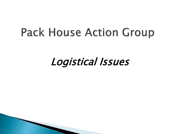#### **Pack House Action Group**

#### Logistical Issues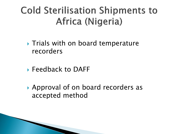#### **Cold Sterilisation Shipments to** Africa (Nigeria)

- **Trials with on board temperature** recorders
- ▶ Feedback to DAFF
- Approval of on board recorders as accepted method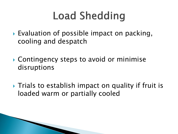## **Load Shedding**

- ▶ Evaluation of possible impact on packing, cooling and despatch
- ▶ Contingency steps to avoid or minimise disruptions
- $\triangleright$  Trials to establish impact on quality if fruit is loaded warm or partially cooled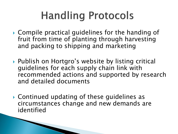## **Handling Protocols**

- Compile practical guidelines for the handing of fruit from time of planting through harvesting and packing to shipping and marketing
- ▶ Publish on Hortgro's website by listing critical guidelines for each supply chain link with recommended actions and supported by research and detailed documents
- Continued updating of these guidelines as circumstances change and new demands are identified

**The Company of the Company of the Company of the Company of the Company of The Company of The Company of The Company of The Company of The Company of The Company of The Company of The Company of The Company of The Company**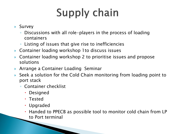# **Supply chain**

- Survey
	- Discussions with all role-players in the process of loading containers
	- Listing of issues that give rise to inefficiencies
- Container loading workshop 1to discuss issues
- Container loading workshop 2 to prioritise issues and propose solutions
- Arrange a Container Loading Seminar
- Seek a solution for the Cold Chain monitoring from loading point to port stack
	- Container checklist
		- Designed
		- Tested
		- Upgraded
		- Handed to PPECB as possible tool to monitor cold chain from LP to Port terminal